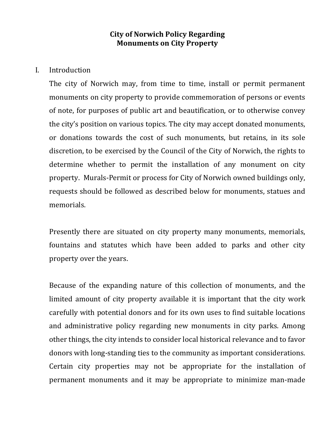# **City of Norwich Policy Regarding Monuments on City Property**

I. Introduction

The city of Norwich may, from time to time, install or permit permanent monuments on city property to provide commemoration of persons or events of note, for purposes of public art and beautification, or to otherwise convey the city's position on various topics. The city may accept donated monuments, or donations towards the cost of such monuments, but retains, in its sole discretion, to be exercised by the Council of the City of Norwich, the rights to determine whether to permit the installation of any monument on city property. Murals-Permit or process for City of Norwich owned buildings only, requests should be followed as described below for monuments, statues and memorials.

Presently there are situated on city property many monuments, memorials, fountains and statutes which have been added to parks and other city property over the years.

Because of the expanding nature of this collection of monuments, and the limited amount of city property available it is important that the city work carefully with potential donors and for its own uses to find suitable locations and administrative policy regarding new monuments in city parks. Among other things, the city intends to consider local historical relevance and to favor donors with long-standing ties to the community as important considerations. Certain city properties may not be appropriate for the installation of permanent monuments and it may be appropriate to minimize man-made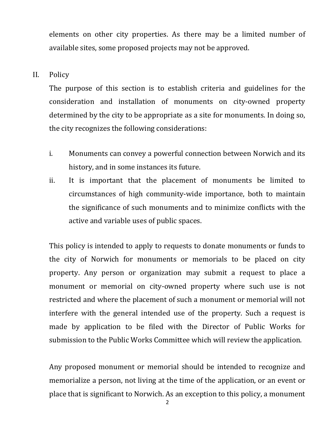elements on other city properties. As there may be a limited number of available sites, some proposed projects may not be approved.

II. Policy

The purpose of this section is to establish criteria and guidelines for the consideration and installation of monuments on city-owned property determined by the city to be appropriate as a site for monuments. In doing so, the city recognizes the following considerations:

- i. Monuments can convey a powerful connection between Norwich and its history, and in some instances its future.
- ii. It is important that the placement of monuments be limited to circumstances of high community-wide importance, both to maintain the significance of such monuments and to minimize conflicts with the active and variable uses of public spaces.

This policy is intended to apply to requests to donate monuments or funds to the city of Norwich for monuments or memorials to be placed on city property. Any person or organization may submit a request to place a monument or memorial on city-owned property where such use is not restricted and where the placement of such a monument or memorial will not interfere with the general intended use of the property. Such a request is made by application to be filed with the Director of Public Works for submission to the Public Works Committee which will review the application.

Any proposed monument or memorial should be intended to recognize and memorialize a person, not living at the time of the application, or an event or place that is significant to Norwich. As an exception to this policy, a monument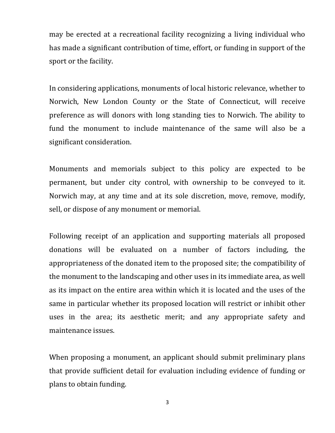may be erected at a recreational facility recognizing a living individual who has made a significant contribution of time, effort, or funding in support of the sport or the facility.

In considering applications, monuments of local historic relevance, whether to Norwich, New London County or the State of Connecticut, will receive preference as will donors with long standing ties to Norwich. The ability to fund the monument to include maintenance of the same will also be a significant consideration.

Monuments and memorials subject to this policy are expected to be permanent, but under city control, with ownership to be conveyed to it. Norwich may, at any time and at its sole discretion, move, remove, modify, sell, or dispose of any monument or memorial.

Following receipt of an application and supporting materials all proposed donations will be evaluated on a number of factors including, the appropriateness of the donated item to the proposed site; the compatibility of the monument to the landscaping and other uses in its immediate area, as well as its impact on the entire area within which it is located and the uses of the same in particular whether its proposed location will restrict or inhibit other uses in the area; its aesthetic merit; and any appropriate safety and maintenance issues.

When proposing a monument, an applicant should submit preliminary plans that provide sufficient detail for evaluation including evidence of funding or plans to obtain funding.

3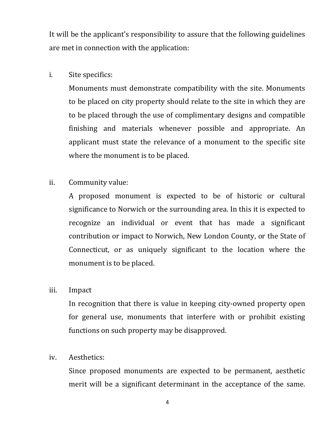It will be the applicant's responsibility to assure that the following guidelines are met in connection with the application:

# i. Site specifics:

Monuments must demonstrate compatibility with the site. Monuments to be placed on city property should relate to the site in which they are to be placed through the use of complimentary designs and compatible finishing and materials whenever possible and appropriate. An applicant must state the relevance of a monument to the specific site where the monument is to be placed.

# ii. Community value:

A proposed monument is expected to be of historic or cultural significance to Norwich or the surrounding area. In this it is expected to recognize an individual or event that has made a significant contribution or impact to Norwich, New London County, or the State of Connecticut, or as uniquely significant to the location where the monument is to be placed.

# iii. Impact

In recognition that there is value in keeping city-owned property open for general use, monuments that interfere with or prohibit existing functions on such property may be disapproved.

# iv. Aesthetics:

Since proposed monuments are expected to be permanent, aesthetic merit will be a significant determinant in the acceptance of the same.

4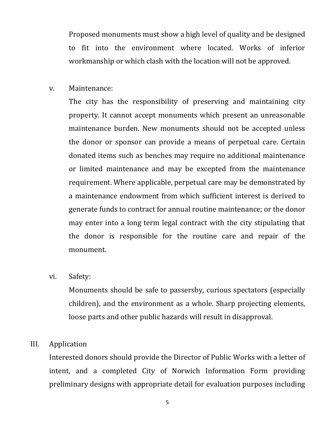Proposed monuments must show a high level of quality and be designed to fit into the environment where located. Works of inferior workmanship or which clash with the location will not be approved.

## v. Maintenance:

The city has the responsibility of preserving and maintaining city property. It cannot accept monuments which present an unreasonable maintenance burden. New monuments should not be accepted unless the donor or sponsor can provide a means of perpetual care. Certain donated items such as benches may require no additional maintenance or limited maintenance and may be excepted from the maintenance requirement. Where applicable, perpetual care may be demonstrated by a maintenance endowment from which sufficient interest is derived to generate funds to contract for annual routine maintenance; or the donor may enter into a long term legal contract with the city stipulating that the donor is responsible for the routine care and repair of the monument.

## vi. Safety:

Monuments should be safe to passersby, curious spectators (especially children), and the environment as a whole. Sharp projecting elements, loose parts and other public hazards will result in disapproval.

# III. Application

Interested donors should provide the Director of Public Works with a letter of intent, and a completed City of Norwich Information Form providing preliminary designs with appropriate detail for evaluation purposes including

5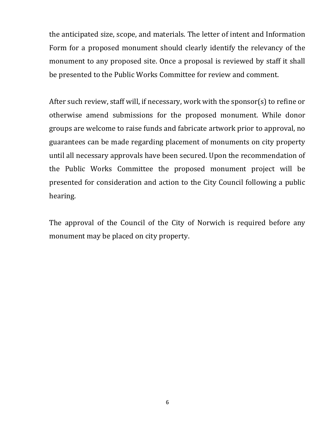the anticipated size, scope, and materials. The letter of intent and Information Form for a proposed monument should clearly identify the relevancy of the monument to any proposed site. Once a proposal is reviewed by staff it shall be presented to the Public Works Committee for review and comment.

After such review, staff will, if necessary, work with the sponsor(s) to refine or otherwise amend submissions for the proposed monument. While donor groups are welcome to raise funds and fabricate artwork prior to approval, no guarantees can be made regarding placement of monuments on city property until all necessary approvals have been secured. Upon the recommendation of the Public Works Committee the proposed monument project will be presented for consideration and action to the City Council following a public hearing.

The approval of the Council of the City of Norwich is required before any monument may be placed on city property.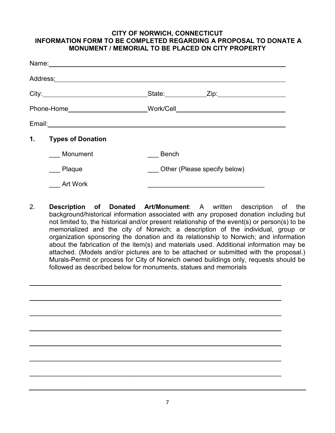## **CITY OF NORWICH, CONNECTICUT INFORMATION FORM TO BE COMPLETED REGARDING A PROPOSAL TO DONATE A MONUMENT / MEMORIAL TO BE PLACED ON CITY PROPERTY**

|    | Address <u>:</u> Address: Address: Address: Address: Address: Address: Address: Address: Address: Address: Address: Address: Address: Address: Address: Address: Address: Address: Address: Address: Address: Address: Address: Addr |                              |  |
|----|--------------------------------------------------------------------------------------------------------------------------------------------------------------------------------------------------------------------------------------|------------------------------|--|
|    |                                                                                                                                                                                                                                      |                              |  |
|    |                                                                                                                                                                                                                                      |                              |  |
|    | Email: 2008. 2009. 2010. 2010. 2010. 2010. 2010. 2010. 2011. 2012. 2012. 2012. 2014. 2014. 2014. 2014. 2014. 20                                                                                                                      |                              |  |
| 1. | <b>Types of Donation</b>                                                                                                                                                                                                             |                              |  |
|    | Monument                                                                                                                                                                                                                             | <b>Bench</b>                 |  |
|    | Plaque                                                                                                                                                                                                                               | Other (Please specify below) |  |
|    | <b>Art Work</b>                                                                                                                                                                                                                      |                              |  |

2. **Description of Donated Art/Monument**: A written description of the background/historical information associated with any proposed donation including but not limited to, the historical and/or present relationship of the event(s) or person(s) to be memorialized and the city of Norwich; a description of the individual, group or organization sponsoring the donation and its relationship to Norwich; and information about the fabrication of the item(s) and materials used. Additional information may be attached. (Models and/or pictures are to be attached or submitted with the proposal.) Murals-Permit or process for City of Norwich owned buildings only, requests should be followed as described below for monuments, statues and memorials

\_\_\_\_\_\_\_\_\_\_\_\_\_\_\_\_\_\_\_\_\_\_\_\_\_\_\_\_\_\_\_\_\_\_\_\_\_\_\_\_\_\_\_\_\_\_\_\_\_\_\_\_\_\_\_\_\_\_\_\_\_\_\_\_\_\_\_\_\_

\_\_\_\_\_\_\_\_\_\_\_\_\_\_\_\_\_\_\_\_\_\_\_\_\_\_\_\_\_\_\_\_\_\_\_\_\_\_\_\_\_\_\_\_\_\_\_\_\_\_\_\_\_\_\_\_\_\_\_\_\_\_\_\_\_\_\_\_\_

 $\overline{\phantom{a}}$  , and the contribution of the contribution of the contribution of the contribution of the contribution of the contribution of the contribution of the contribution of the contribution of the contribution of the

\_\_\_\_\_\_\_\_\_\_\_\_\_\_\_\_\_\_\_\_\_\_\_\_\_\_\_\_\_\_\_\_\_\_\_\_\_\_\_\_\_\_\_\_\_\_\_\_\_\_\_\_\_\_\_\_\_\_\_\_\_\_\_\_\_\_\_\_\_

 $\overline{\phantom{a}}$  , and the contribution of the contribution of the contribution of the contribution of the contribution of the contribution of the contribution of the contribution of the contribution of the contribution of the

\_\_\_\_\_\_\_\_\_\_\_\_\_\_\_\_\_\_\_\_\_\_\_\_\_\_\_\_\_\_\_\_\_\_\_\_\_\_\_\_\_\_\_\_\_\_\_\_\_\_\_\_\_\_\_\_\_\_\_\_\_\_\_\_\_\_\_\_\_

\_\_\_\_\_\_\_\_\_\_\_\_\_\_\_\_\_\_\_\_\_\_\_\_\_\_\_\_\_\_\_\_\_\_\_\_\_\_\_\_\_\_\_\_\_\_\_\_\_\_\_\_\_\_\_\_\_\_\_\_\_\_\_\_\_\_\_\_\_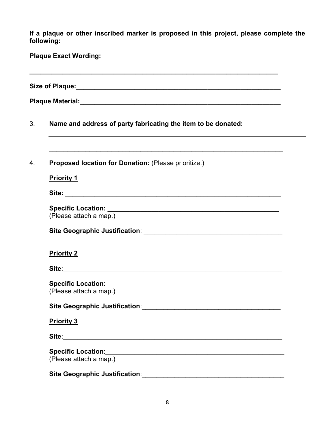**If a plaque or other inscribed marker is proposed in this project, please complete the following:** 

**Plaque Exact Wording:** 

**Size of Plaque:\_\_\_\_\_\_\_\_\_\_\_\_\_\_\_\_\_\_\_\_\_\_\_\_\_\_\_\_\_\_\_\_\_\_\_\_\_\_\_\_\_\_\_\_\_\_\_\_\_\_\_\_\_\_\_\_** 

**\_\_\_\_\_\_\_\_\_\_\_\_\_\_\_\_\_\_\_\_\_\_\_\_\_\_\_\_\_\_\_\_\_\_\_\_\_\_\_\_\_\_\_\_\_\_\_\_\_\_\_\_\_\_\_\_\_\_\_\_\_\_\_\_\_\_\_\_** 

**Plaque Material:** 

3. **Name and address of party fabricating the item to be donated:**

4. **Proposed location for Donation:** (Please prioritize.)

**Priority 1** 

**Site: \_\_\_\_\_\_\_\_\_\_\_\_\_\_\_\_\_\_\_\_\_\_\_\_\_\_\_\_\_\_\_\_\_\_\_\_\_\_\_\_\_\_\_\_\_\_\_\_\_\_\_\_\_\_\_\_\_\_\_** 

| <b>Specific Location:</b> |  |
|---------------------------|--|
| (Please attach a map.)    |  |

\_\_\_\_\_\_\_\_\_\_\_\_\_\_\_\_\_\_\_\_\_\_\_\_\_\_\_\_\_\_\_\_\_\_\_\_\_\_\_\_\_\_\_\_\_\_\_\_\_\_\_\_\_\_\_\_\_\_\_\_\_\_\_\_

**Site Geographic Justification**: \_\_\_\_\_\_\_\_\_\_\_\_\_\_\_\_\_\_\_\_\_\_\_\_\_\_\_\_\_\_\_\_\_\_\_\_\_\_

## **Priority 2**

**Site**:\_\_\_\_\_\_\_\_\_\_\_\_\_\_\_\_\_\_\_\_\_\_\_\_\_\_\_\_\_\_\_\_\_\_\_\_\_\_\_\_\_\_\_\_\_\_\_\_\_\_\_\_\_\_\_\_\_\_\_\_

**Specific Location**: \_\_\_\_\_\_\_\_\_\_\_\_\_\_\_\_\_\_\_\_\_\_\_\_\_\_\_\_\_\_\_\_\_\_\_\_\_\_\_\_\_\_\_\_\_\_\_ (Please attach a map.)

**Site Geographic Justification**:\_\_\_\_\_\_\_\_\_\_\_\_\_\_\_\_\_\_\_\_\_\_\_\_\_\_\_\_\_\_\_\_\_\_\_\_\_\_

#### **Priority 3**

**Site**:\_\_\_\_\_\_\_\_\_\_\_\_\_\_\_\_\_\_\_\_\_\_\_\_\_\_\_\_\_\_\_\_\_\_\_\_\_\_\_\_\_\_\_\_\_\_\_\_\_\_\_\_\_\_\_\_\_\_\_\_

**Specific Location**:\_\_\_\_\_\_\_\_\_\_\_\_\_\_\_\_\_\_\_\_\_\_\_\_\_\_\_\_\_\_\_\_\_\_\_\_\_\_\_\_\_\_\_\_\_\_\_\_\_ (Please attach a map.)

| <b>Site Geographic Justification:</b> |  |
|---------------------------------------|--|
|                                       |  |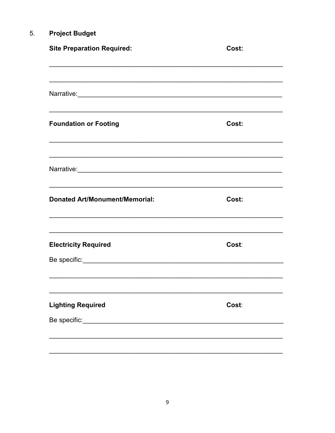#### **Project Budget**  $5.$

| Cost: |
|-------|
|       |
|       |
| Cost: |
|       |
| Cost: |
| Cost: |
|       |
| Cost: |
|       |
|       |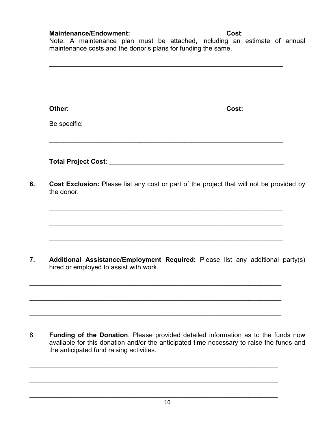# **Maintenance/Endowment: Cost**:

the anticipated fund raising activities.

Note: A maintenance plan must be attached, including an estimate of annual maintenance costs and the donor's plans for funding the same.

| Other:                                                                                                                   | Cost: |  |
|--------------------------------------------------------------------------------------------------------------------------|-------|--|
|                                                                                                                          |       |  |
|                                                                                                                          |       |  |
| Cost Exclusion: Please list any cost or part of the project that will not be provided by<br>the donor.                   |       |  |
|                                                                                                                          |       |  |
|                                                                                                                          |       |  |
| Additional Assistance/Employment Required: Please list any additional party(s)<br>hired or employed to assist with work. |       |  |
|                                                                                                                          |       |  |

\_\_\_\_\_\_\_\_\_\_\_\_\_\_\_\_\_\_\_\_\_\_\_\_\_\_\_\_\_\_\_\_\_\_\_\_\_\_\_\_\_\_\_\_\_\_\_\_\_\_\_\_\_\_\_\_\_\_\_\_\_\_\_\_\_\_\_\_

 $\_$  , and the contribution of the contribution of  $\mathcal{L}_\mathcal{A}$  , and the contribution of  $\mathcal{L}_\mathcal{A}$  , and

\_\_\_\_\_\_\_\_\_\_\_\_\_\_\_\_\_\_\_\_\_\_\_\_\_\_\_\_\_\_\_\_\_\_\_\_\_\_\_\_\_\_\_\_\_\_\_\_\_\_\_\_\_\_\_\_\_\_\_\_\_\_\_\_\_\_\_\_